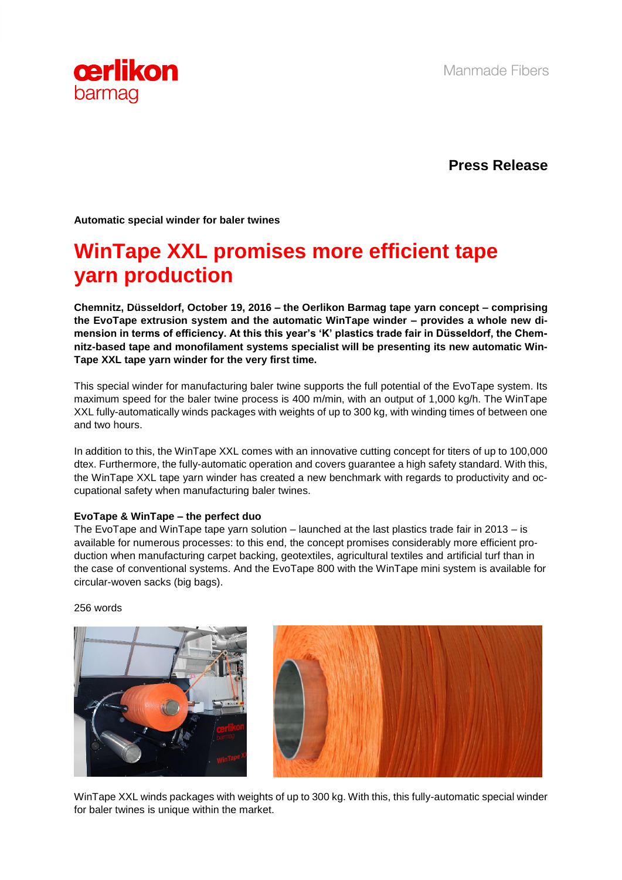

**Press Release**

**Automatic special winder for baler twines** 

## **WinTape XXL promises more efficient tape yarn production**

**Chemnitz, Düsseldorf, October 19, 2016 – the Oerlikon Barmag tape yarn concept – comprising the EvoTape extrusion system and the automatic WinTape winder – provides a whole new dimension in terms of efficiency. At this this year's 'K' plastics trade fair in Düsseldorf, the Chemnitz-based tape and monofilament systems specialist will be presenting its new automatic Win-Tape XXL tape yarn winder for the very first time.** 

This special winder for manufacturing baler twine supports the full potential of the EvoTape system. Its maximum speed for the baler twine process is 400 m/min, with an output of 1,000 kg/h. The WinTape XXL fully-automatically winds packages with weights of up to 300 kg, with winding times of between one and two hours.

In addition to this, the WinTape XXL comes with an innovative cutting concept for titers of up to 100,000 dtex. Furthermore, the fully-automatic operation and covers guarantee a high safety standard. With this, the WinTape XXL tape yarn winder has created a new benchmark with regards to productivity and occupational safety when manufacturing baler twines.

## **EvoTape & WinTape – the perfect duo**

The EvoTape and WinTape tape yarn solution – launched at the last plastics trade fair in 2013 – is available for numerous processes: to this end, the concept promises considerably more efficient production when manufacturing carpet backing, geotextiles, agricultural textiles and artificial turf than in the case of conventional systems. And the EvoTape 800 with the WinTape mini system is available for circular-woven sacks (big bags).

256 words





WinTape XXL winds packages with weights of up to 300 kg. With this, this fully-automatic special winder for baler twines is unique within the market.